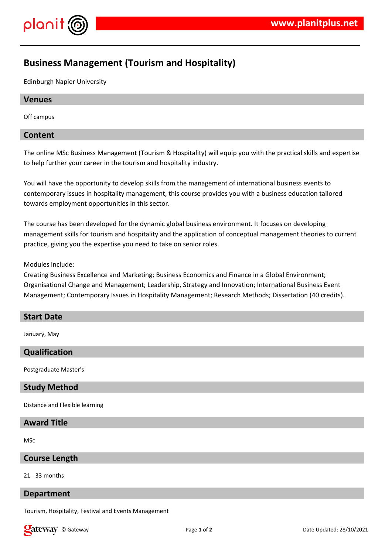

# **Business Management (Tourism and Hospitality)**

Edinburgh Napier University

#### **Venues**

Off campus

## **Content**

The online MSc Business Management (Tourism & Hospitality) will equip you with the practical skills and expertise to help further your career in the tourism and hospitality industry.

You will have the opportunity to develop skills from the management of international business events to contemporary issues in hospitality management, this course provides you with a business education tailored towards employment opportunities in this sector.

The course has been developed for the dynamic global business environment. It focuses on developing management skills for tourism and hospitality and the application of conceptual management theories to current practice, giving you the expertise you need to take on senior roles.

#### Modules include:

Creating Business Excellence and Marketing; Business Economics and Finance in a Global Environment; Organisational Change and Management; Leadership, Strategy and Innovation; International Business Event Management; Contemporary Issues in Hospitality Management; Research Methods; Dissertation (40 credits).

#### **Start Date**

January, May

# **Qualification**

Postgraduate Master's

## **Study Method**

Distance and Flexible learning

## **Award Title**

MSc

## **Course Length**

#### 21 - 33 months

#### **Department**

Tourism, Hospitality, Festival and Events Management